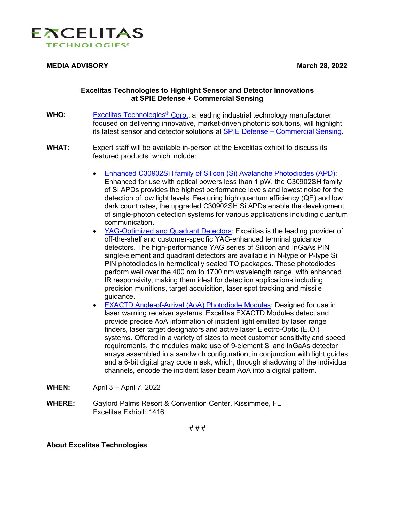



## **MEDIA ADVISORY March 28, 2022**

## **Excelitas Technologies to Highlight Sensor and Detector Innovations at SPIE Defense + Commercial Sensing**

- **WHO:** [Excelitas Technologies®](https://www.excelitas.com/) Corp., a leading industrial technology manufacturer focused on delivering innovative, market-driven photonic solutions, will highlight its latest sensor and detector solutions at [SPIE Defense + Commercial Sensing.](https://spie.org/conferences-and-exhibitions/defense-and-commercial-sensing?SSO=1)
- **WHAT:** Expert staff will be available in-person at the Excelitas exhibit to discuss its featured products, which include:
	- [Enhanced C30902SH family of Silicon \(Si\) Avalanche Photodiodes \(APD\):](https://www.excelitas.com/product/c30902sh-si-apd-05mm-18-photon-counting) Enhanced for use with optical powers less than 1 pW, the C30902SH family of Si APDs provides the highest performance levels and lowest noise for the detection of low light levels. Featuring high quantum efficiency (QE) and low dark count rates, the upgraded C30902SH Si APDs enable the development of single-photon detection systems for various applications including quantum communication.
	- [YAG-Optimized and Quadrant Detectors:](https://www.excelitas.com/product-category/yag-enhanced-photodiodes) Excelitas is the leading provider of off-the-shelf and customer-specific YAG-enhanced terminal guidance detectors. The high-performance YAG series of Silicon and InGaAs PIN single-element and quadrant detectors are available in N-type or P-type Si PIN photodiodes in hermetically sealed TO packages. These photodiodes perform well over the 400 nm to 1700 nm wavelength range, with enhanced IR responsivity, making them ideal for detection applications including precision munitions, target acquisition, laser spot tracking and missile guidance.
	- EXACTD [Angle-of-Arrival \(AoA\) Photodiode Modules:](https://www.excelitas.com/product-category/laser-warning-detectors) Designed for use in laser warning receiver systems, Excelitas EXACTD Modules detect and provide precise AoA information of incident light emitted by laser range finders, laser target designators and active laser Electro-Optic (E.O.) systems. Offered in a variety of sizes to meet customer sensitivity and speed requirements, the modules make use of 9-element Si and InGaAs detector arrays assembled in a sandwich configuration, in conjunction with light guides and a 6-bit digital gray code mask, which, through shadowing of the individual channels, encode the incident laser beam AoA into a digital pattern.
- **WHEN:** April 3 April 7, 2022
- **WHERE:** Gaylord Palms Resort & Convention Center, Kissimmee, FL Excelitas Exhibit: 1416

# # #

**About Excelitas Technologies**